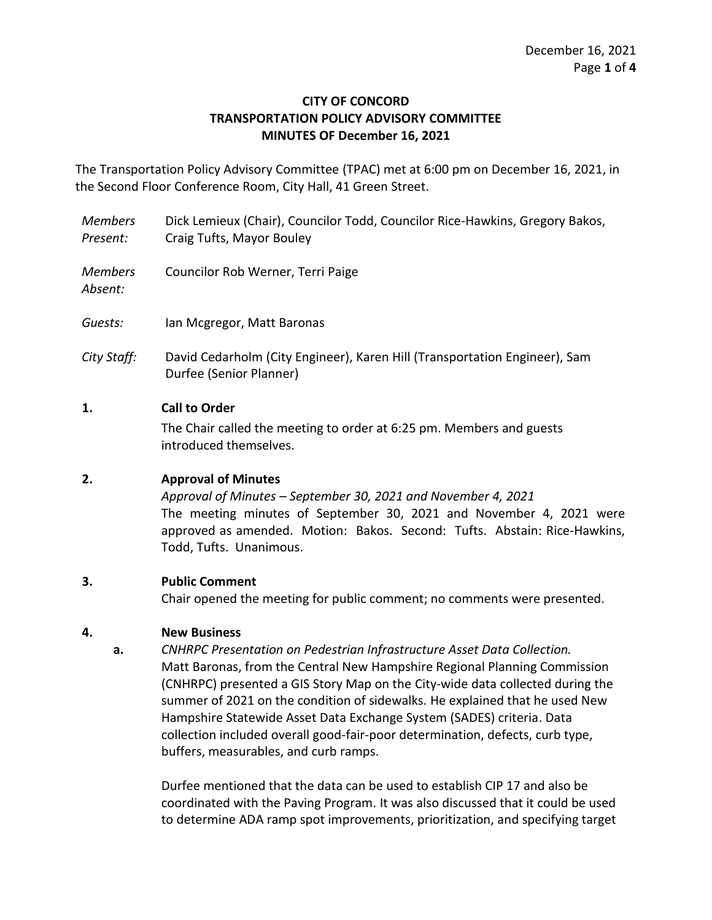### **CITY OF CONCORD TRANSPORTATION POLICY ADVISORY COMMITTEE MINUTES OF December 16, 2021**

The Transportation Policy Advisory Committee (TPAC) met at 6:00 pm on December 16, 2021, in the Second Floor Conference Room, City Hall, 41 Green Street.

*Members Present:* Dick Lemieux (Chair), Councilor Todd, Councilor Rice-Hawkins, Gregory Bakos, Craig Tufts, Mayor Bouley

*Members*  Councilor Rob Werner, Terri Paige

*Absent:*

- *Guests:* Ian Mcgregor, Matt Baronas
- *City Staff:* David Cedarholm (City Engineer), Karen Hill (Transportation Engineer), Sam Durfee (Senior Planner)

### **1. Call to Order**

The Chair called the meeting to order at 6:25 pm. Members and guests introduced themselves.

# **2. Approval of Minutes**

*Approval of Minutes – September 30, 2021 and November 4, 2021* The meeting minutes of September 30, 2021 and November 4, 2021 were approved as amended. Motion: Bakos. Second: Tufts. Abstain: Rice-Hawkins, Todd, Tufts. Unanimous.

#### **3. Public Comment**

Chair opened the meeting for public comment; no comments were presented.

# **4. New Business**

**a.** *CNHRPC Presentation on Pedestrian Infrastructure Asset Data Collection.* Matt Baronas, from the Central New Hampshire Regional Planning Commission (CNHRPC) presented a GIS Story Map on the City-wide data collected during the summer of 2021 on the condition of sidewalks. He explained that he used New Hampshire Statewide Asset Data Exchange System (SADES) criteria. Data collection included overall good-fair-poor determination, defects, curb type, buffers, measurables, and curb ramps.

Durfee mentioned that the data can be used to establish CIP 17 and also be coordinated with the Paving Program. It was also discussed that it could be used to determine ADA ramp spot improvements, prioritization, and specifying target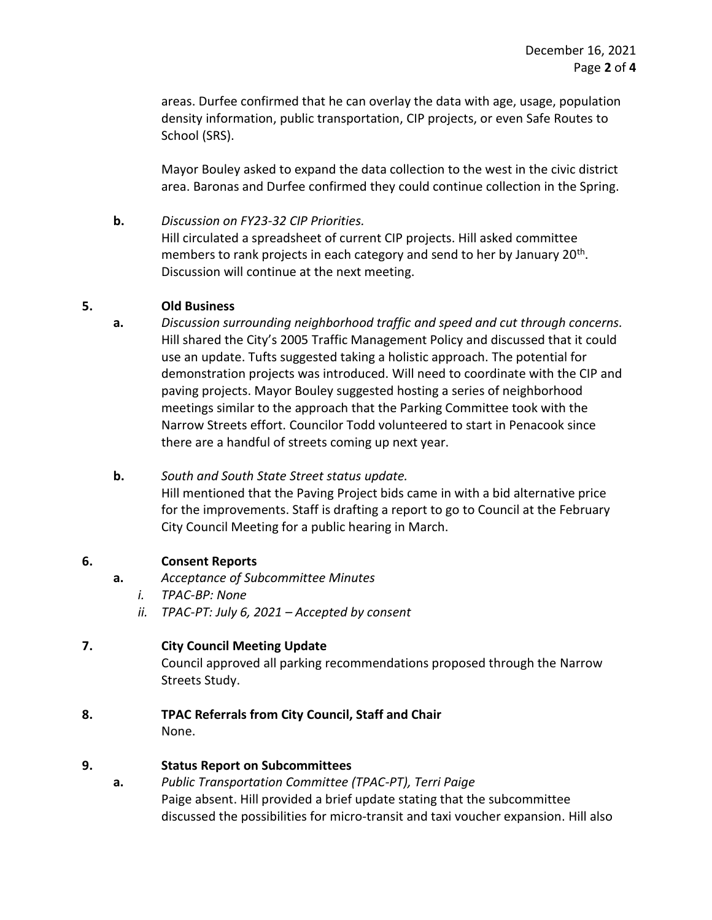areas. Durfee confirmed that he can overlay the data with age, usage, population density information, public transportation, CIP projects, or even Safe Routes to School (SRS).

Mayor Bouley asked to expand the data collection to the west in the civic district area. Baronas and Durfee confirmed they could continue collection in the Spring.

### **b.** *Discussion on FY23-32 CIP Priorities.*

Hill circulated a spreadsheet of current CIP projects. Hill asked committee members to rank projects in each category and send to her by January 20<sup>th</sup>. Discussion will continue at the next meeting.

### **5. Old Business**

- **a.** *Discussion surrounding neighborhood traffic and speed and cut through concerns.* Hill shared the City's 2005 Traffic Management Policy and discussed that it could use an update. Tufts suggested taking a holistic approach. The potential for demonstration projects was introduced. Will need to coordinate with the CIP and paving projects. Mayor Bouley suggested hosting a series of neighborhood meetings similar to the approach that the Parking Committee took with the Narrow Streets effort. Councilor Todd volunteered to start in Penacook since there are a handful of streets coming up next year.
- **b.** *South and South State Street status update.* Hill mentioned that the Paving Project bids came in with a bid alternative price for the improvements. Staff is drafting a report to go to Council at the February City Council Meeting for a public hearing in March.

# **6. Consent Reports**

- **a.** *Acceptance of Subcommittee Minutes*
	- *i. TPAC-BP: None*
	- *ii. TPAC-PT: July 6, 2021 – Accepted by consent*

# **7. City Council Meeting Update**

Council approved all parking recommendations proposed through the Narrow Streets Study.

**8. TPAC Referrals from City Council, Staff and Chair** None.

# **9. Status Report on Subcommittees**

**a.** *Public Transportation Committee (TPAC-PT), Terri Paige* Paige absent. Hill provided a brief update stating that the subcommittee discussed the possibilities for micro-transit and taxi voucher expansion. Hill also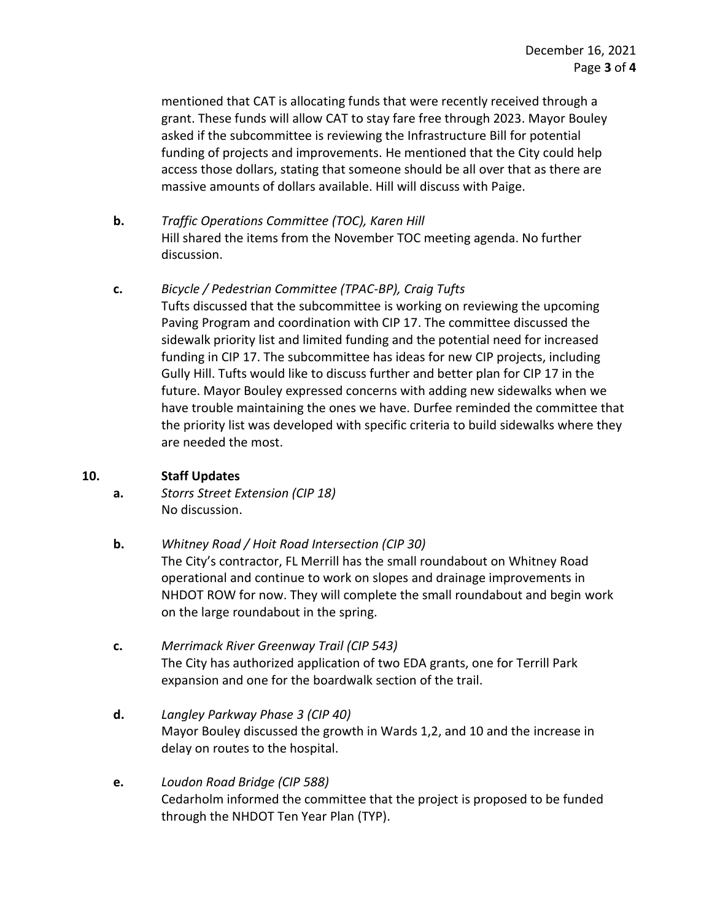mentioned that CAT is allocating funds that were recently received through a grant. These funds will allow CAT to stay fare free through 2023. Mayor Bouley asked if the subcommittee is reviewing the Infrastructure Bill for potential funding of projects and improvements. He mentioned that the City could help access those dollars, stating that someone should be all over that as there are massive amounts of dollars available. Hill will discuss with Paige.

- **b.** *Traffic Operations Committee (TOC), Karen Hill* Hill shared the items from the November TOC meeting agenda. No further discussion.
- **c.** *Bicycle / Pedestrian Committee (TPAC-BP), Craig Tufts* Tufts discussed that the subcommittee is working on reviewing the upcoming Paving Program and coordination with CIP 17. The committee discussed the sidewalk priority list and limited funding and the potential need for increased funding in CIP 17. The subcommittee has ideas for new CIP projects, including Gully Hill. Tufts would like to discuss further and better plan for CIP 17 in the future. Mayor Bouley expressed concerns with adding new sidewalks when we have trouble maintaining the ones we have. Durfee reminded the committee that the priority list was developed with specific criteria to build sidewalks where they are needed the most.

# **10. Staff Updates**

- **a.** *Storrs Street Extension (CIP 18)* No discussion.
- **b.** *Whitney Road / Hoit Road Intersection (CIP 30)* The City's contractor, FL Merrill has the small roundabout on Whitney Road operational and continue to work on slopes and drainage improvements in NHDOT ROW for now. They will complete the small roundabout and begin work on the large roundabout in the spring.
- **c.** *Merrimack River Greenway Trail (CIP 543)* The City has authorized application of two EDA grants, one for Terrill Park expansion and one for the boardwalk section of the trail.
- **d.** *Langley Parkway Phase 3 (CIP 40)* Mayor Bouley discussed the growth in Wards 1,2, and 10 and the increase in delay on routes to the hospital.
- **e.** *Loudon Road Bridge (CIP 588)* Cedarholm informed the committee that the project is proposed to be funded through the NHDOT Ten Year Plan (TYP).